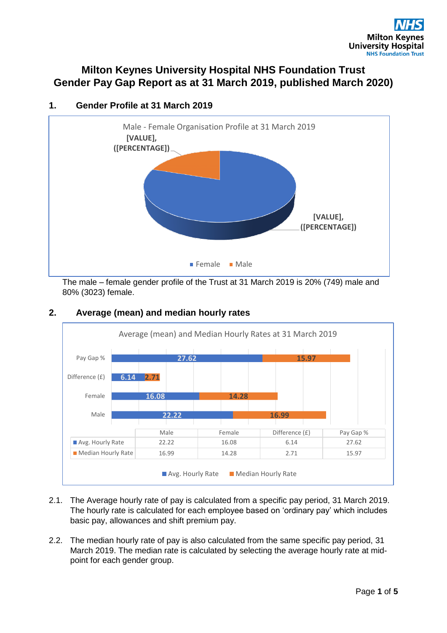# **Milton Keynes University Hospital NHS Foundation Trust Gender Pay Gap Report as at 31 March 2019, published March 2020)**



## **1. Gender Profile at 31 March 2019**

The male – female gender profile of the Trust at 31 March 2019 is 20% (749) male and 80% (3023) female.



## **2. Average (mean) and median hourly rates**

- 2.1. The Average hourly rate of pay is calculated from a specific pay period, 31 March 2019. The hourly rate is calculated for each employee based on 'ordinary pay' which includes basic pay, allowances and shift premium pay.
- 2.2. The median hourly rate of pay is also calculated from the same specific pay period, 31 March 2019. The median rate is calculated by selecting the average hourly rate at midpoint for each gender group.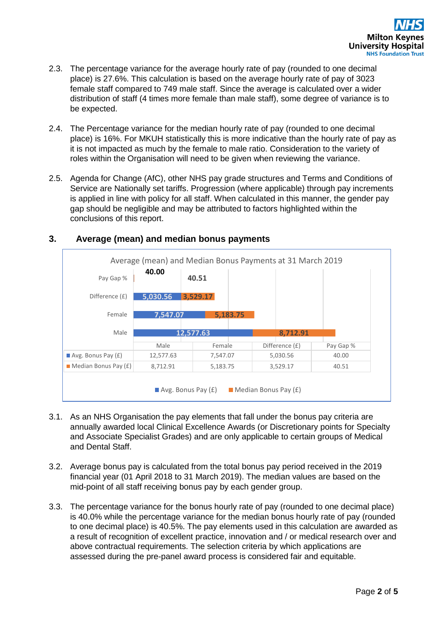- 2.3. The percentage variance for the average hourly rate of pay (rounded to one decimal place) is 27.6%. This calculation is based on the average hourly rate of pay of 3023 female staff compared to 749 male staff. Since the average is calculated over a wider distribution of staff (4 times more female than male staff), some degree of variance is to be expected.
- 2.4. The Percentage variance for the median hourly rate of pay (rounded to one decimal place) is 16%. For MKUH statistically this is more indicative than the hourly rate of pay as it is not impacted as much by the female to male ratio. Consideration to the variety of roles within the Organisation will need to be given when reviewing the variance.
- 2.5. Agenda for Change (AfC), other NHS pay grade structures and Terms and Conditions of Service are Nationally set tariffs. Progression (where applicable) through pay increments is applied in line with policy for all staff. When calculated in this manner, the gender pay gap should be negligible and may be attributed to factors highlighted within the conclusions of this report.



## **3. Average (mean) and median bonus payments**

- 3.1. As an NHS Organisation the pay elements that fall under the bonus pay criteria are annually awarded local Clinical Excellence Awards (or Discretionary points for Specialty and Associate Specialist Grades) and are only applicable to certain groups of Medical and Dental Staff.
- 3.2. Average bonus pay is calculated from the total bonus pay period received in the 2019 financial year (01 April 2018 to 31 March 2019). The median values are based on the mid-point of all staff receiving bonus pay by each gender group.
- 3.3. The percentage variance for the bonus hourly rate of pay (rounded to one decimal place) is 40.0% while the percentage variance for the median bonus hourly rate of pay (rounded to one decimal place) is 40.5%. The pay elements used in this calculation are awarded as a result of recognition of excellent practice, innovation and / or medical research over and above contractual requirements. The selection criteria by which applications are assessed during the pre-panel award process is considered fair and equitable.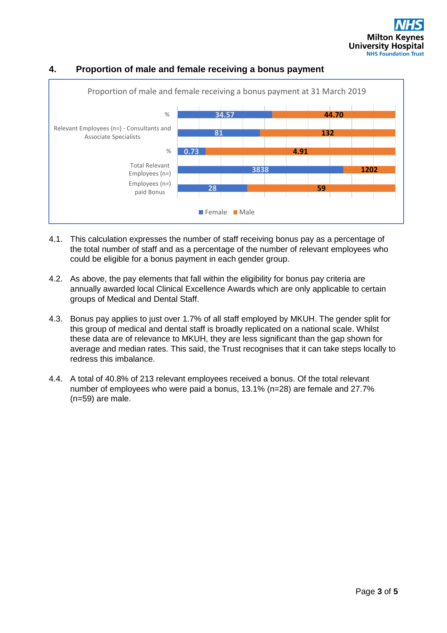

### **4. Proportion of male and female receiving a bonus payment**

- 4.1. This calculation expresses the number of staff receiving bonus pay as a percentage of the total number of staff and as a percentage of the number of relevant employees who could be eligible for a bonus payment in each gender group.
- 4.2. As above, the pay elements that fall within the eligibility for bonus pay criteria are annually awarded local Clinical Excellence Awards which are only applicable to certain groups of Medical and Dental Staff.
- 4.3. Bonus pay applies to just over 1.7% of all staff employed by MKUH. The gender split for this group of medical and dental staff is broadly replicated on a national scale. Whilst these data are of relevance to MKUH, they are less significant than the gap shown for average and median rates. This said, the Trust recognises that it can take steps locally to redress this imbalance.
- 4.4. A total of 40.8% of 213 relevant employees received a bonus. Of the total relevant number of employees who were paid a bonus, 13.1% (n=28) are female and 27.7% (n=59) are male.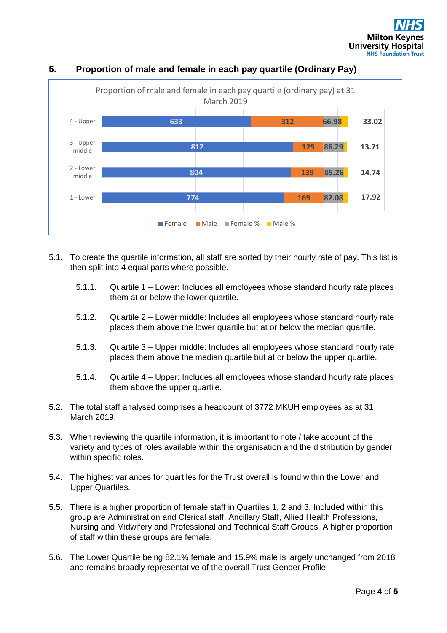

## **5. Proportion of male and female in each pay quartile (Ordinary Pay)**

- 5.1. To create the quartile information, all staff are sorted by their hourly rate of pay. This list is then split into 4 equal parts where possible.
	- 5.1.1. Quartile 1 Lower: Includes all employees whose standard hourly rate places them at or below the lower quartile.
	- 5.1.2. Quartile 2 Lower middle: Includes all employees whose standard hourly rate places them above the lower quartile but at or below the median quartile.
	- 5.1.3. Quartile 3 Upper middle: Includes all employees whose standard hourly rate places them above the median quartile but at or below the upper quartile.
	- 5.1.4. Quartile 4 Upper: Includes all employees whose standard hourly rate places them above the upper quartile.
- 5.2. The total staff analysed comprises a headcount of 3772 MKUH employees as at 31 March 2019.
- 5.3. When reviewing the quartile information, it is important to note / take account of the variety and types of roles available within the organisation and the distribution by gender within specific roles.
- 5.4. The highest variances for quartiles for the Trust overall is found within the Lower and Upper Quartiles.
- 5.5. There is a higher proportion of female staff in Quartiles 1, 2 and 3. Included within this group are Administration and Clerical staff, Ancillary Staff, Allied Health Professions, Nursing and Midwifery and Professional and Technical Staff Groups. A higher proportion of staff within these groups are female.
- 5.6. The Lower Quartile being 82.1% female and 15.9% male is largely unchanged from 2018 and remains broadly representative of the overall Trust Gender Profile.